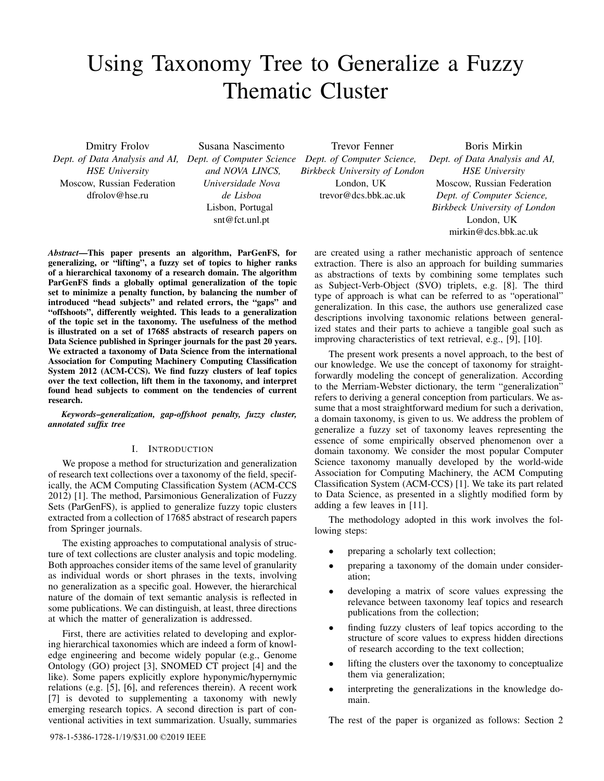# Using Taxonomy Tree to Generalize a Fuzzy Thematic Cluster

Dmitry Frolov *Dept. of Data Analysis and AI, Dept. of Computer Science Dept. of Computer Science, HSE University* Moscow, Russian Federation dfrolov@hse.ru

Susana Nascimento *and NOVA LINCS, Universidade Nova de Lisboa* Lisbon, Portugal snt@fct.unl.pt

Trevor Fenner *Birkbeck University of London* London, UK trevor@dcs.bbk.ac.uk

Boris Mirkin *Dept. of Data Analysis and AI, HSE University* Moscow, Russian Federation *Dept. of Computer Science, Birkbeck University of London* London, UK mirkin@dcs.bbk.ac.uk

*Abstract*—This paper presents an algorithm, ParGenFS, for generalizing, or "lifting", a fuzzy set of topics to higher ranks of a hierarchical taxonomy of a research domain. The algorithm ParGenFS finds a globally optimal generalization of the topic set to minimize a penalty function, by balancing the number of introduced "head subjects" and related errors, the "gaps" and "offshoots", differently weighted. This leads to a generalization of the topic set in the taxonomy. The usefulness of the method is illustrated on a set of 17685 abstracts of research papers on Data Science published in Springer journals for the past 20 years. We extracted a taxonomy of Data Science from the international Association for Computing Machinery Computing Classification System 2012 (ACM-CCS). We find fuzzy clusters of leaf topics over the text collection, lift them in the taxonomy, and interpret found head subjects to comment on the tendencies of current research.

*Keywords*–*generalization, gap-offshoot penalty, fuzzy cluster, annotated suffix tree*

# I. INTRODUCTION

We propose a method for structurization and generalization of research text collections over a taxonomy of the field, specifically, the ACM Computing Classification System (ACM-CCS 2012) [1]. The method, Parsimonious Generalization of Fuzzy Sets (ParGenFS), is applied to generalize fuzzy topic clusters extracted from a collection of 17685 abstract of research papers from Springer journals.

The existing approaches to computational analysis of structure of text collections are cluster analysis and topic modeling. Both approaches consider items of the same level of granularity as individual words or short phrases in the texts, involving no generalization as a specific goal. However, the hierarchical nature of the domain of text semantic analysis is reflected in some publications. We can distinguish, at least, three directions at which the matter of generalization is addressed.

First, there are activities related to developing and exploring hierarchical taxonomies which are indeed a form of knowledge engineering and become widely popular (e.g., Genome Ontology (GO) project [3], SNOMED CT project [4] and the like). Some papers explicitly explore hyponymic/hypernymic relations (e.g. [5], [6], and references therein). A recent work [7] is devoted to supplementing a taxonomy with newly emerging research topics. A second direction is part of conventional activities in text summarization. Usually, summaries are created using a rather mechanistic approach of sentence extraction. There is also an approach for building summaries as abstractions of texts by combining some templates such as Subject-Verb-Object (SVO) triplets, e.g. [8]. The third type of approach is what can be referred to as "operational" generalization. In this case, the authors use generalized case descriptions involving taxonomic relations between generalized states and their parts to achieve a tangible goal such as improving characteristics of text retrieval, e.g., [9], [10].

The present work presents a novel approach, to the best of our knowledge. We use the concept of taxonomy for straightforwardly modeling the concept of generalization. According to the Merriam-Webster dictionary, the term "generalization" refers to deriving a general conception from particulars. We assume that a most straightforward medium for such a derivation, a domain taxonomy, is given to us. We address the problem of generalize a fuzzy set of taxonomy leaves representing the essence of some empirically observed phenomenon over a domain taxonomy. We consider the most popular Computer Science taxonomy manually developed by the world-wide Association for Computing Machinery, the ACM Computing Classification System (ACM-CCS) [1]. We take its part related to Data Science, as presented in a slightly modified form by adding a few leaves in [11].

The methodology adopted in this work involves the following steps:

- preparing a scholarly text collection;
- preparing a taxonomy of the domain under consideration;
- developing a matrix of score values expressing the relevance between taxonomy leaf topics and research publications from the collection;
- finding fuzzy clusters of leaf topics according to the structure of score values to express hidden directions of research according to the text collection;
- lifting the clusters over the taxonomy to conceptualize them via generalization;
- interpreting the generalizations in the knowledge domain.

The rest of the paper is organized as follows: Section 2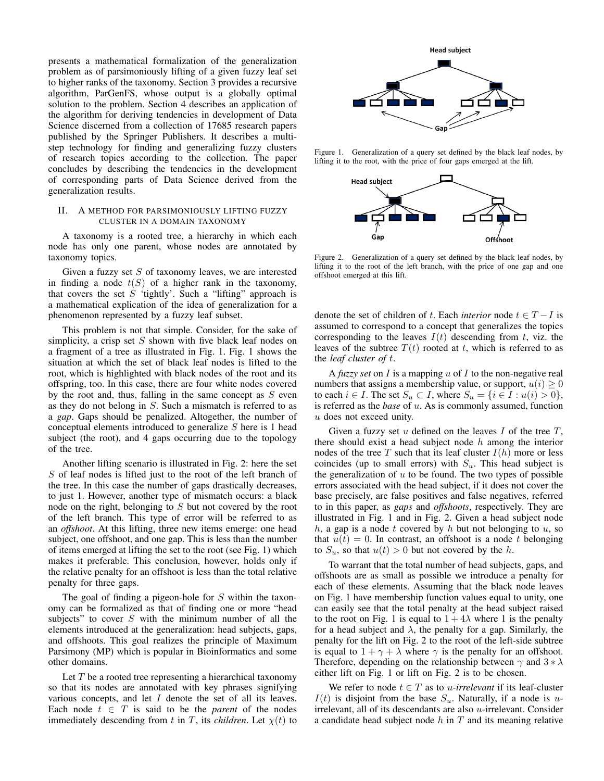presents a mathematical formalization of the generalization problem as of parsimoniously lifting of a given fuzzy leaf set to higher ranks of the taxonomy. Section 3 provides a recursive algorithm, ParGenFS, whose output is a globally optimal solution to the problem. Section 4 describes an application of the algorithm for deriving tendencies in development of Data Science discerned from a collection of 17685 research papers published by the Springer Publishers. It describes a multistep technology for finding and generalizing fuzzy clusters of research topics according to the collection. The paper concludes by describing the tendencies in the development of corresponding parts of Data Science derived from the generalization results.

## II. A METHOD FOR PARSIMONIOUSLY LIFTING FUZZY CLUSTER IN A DOMAIN TAXONOMY

A taxonomy is a rooted tree, a hierarchy in which each node has only one parent, whose nodes are annotated by taxonomy topics.

Given a fuzzy set  $S$  of taxonomy leaves, we are interested in finding a node  $t(S)$  of a higher rank in the taxonomy, that covers the set  $S$  'tightly'. Such a "lifting" approach is a mathematical explication of the idea of generalization for a phenomenon represented by a fuzzy leaf subset.

This problem is not that simple. Consider, for the sake of simplicity, a crisp set  $S$  shown with five black leaf nodes on a fragment of a tree as illustrated in Fig. 1. Fig. 1 shows the situation at which the set of black leaf nodes is lifted to the root, which is highlighted with black nodes of the root and its offspring, too. In this case, there are four white nodes covered by the root and, thus, falling in the same concept as  $S$  even as they do not belong in  $S$ . Such a mismatch is referred to as a *gap*. Gaps should be penalized. Altogether, the number of conceptual elements introduced to generalize S here is 1 head subject (the root), and 4 gaps occurring due to the topology of the tree.

Another lifting scenario is illustrated in Fig. 2: here the set S of leaf nodes is lifted just to the root of the left branch of the tree. In this case the number of gaps drastically decreases, to just 1. However, another type of mismatch occurs: a black node on the right, belonging to S but not covered by the root of the left branch. This type of error will be referred to as an *offshoot*. At this lifting, three new items emerge: one head subject, one offshoot, and one gap. This is less than the number of items emerged at lifting the set to the root (see Fig. 1) which makes it preferable. This conclusion, however, holds only if the relative penalty for an offshoot is less than the total relative penalty for three gaps.

The goal of finding a pigeon-hole for  $S$  within the taxonomy can be formalized as that of finding one or more "head subjects" to cover  $S$  with the minimum number of all the elements introduced at the generalization: head subjects, gaps, and offshoots. This goal realizes the principle of Maximum Parsimony (MP) which is popular in Bioinformatics and some other domains.

Let  $T$  be a rooted tree representing a hierarchical taxonomy so that its nodes are annotated with key phrases signifying various concepts, and let  $I$  denote the set of all its leaves. Each node  $t \in T$  is said to be the *parent* of the nodes immediately descending from t in T, its *children*. Let  $\chi(t)$  to



Figure 1. Generalization of a query set defined by the black leaf nodes, by lifting it to the root, with the price of four gaps emerged at the lift.



Figure 2. Generalization of a query set defined by the black leaf nodes, by lifting it to the root of the left branch, with the price of one gap and one offshoot emerged at this lift.

denote the set of children of t. Each *interior* node  $t \in T - I$  is assumed to correspond to a concept that generalizes the topics corresponding to the leaves  $I(t)$  descending from t, viz. the leaves of the subtree  $T(t)$  rooted at t, which is referred to as the *leaf cluster of* t.

A *fuzzy set* on I is a mapping u of I to the non-negative real numbers that assigns a membership value, or support,  $u(i) \geq 0$ to each  $i \in I$ . The set  $S_u \subset I$ , where  $S_u = \{i \in I : u(i) > 0\},\$ is referred as the *base* of u. As is commonly assumed, function u does not exceed unity.

Given a fuzzy set u defined on the leaves I of the tree  $T$ , there should exist a head subject node  $h$  among the interior nodes of the tree  $T$  such that its leaf cluster  $I(h)$  more or less coincides (up to small errors) with  $S_u$ . This head subject is the generalization of  $u$  to be found. The two types of possible errors associated with the head subject, if it does not cover the base precisely, are false positives and false negatives, referred to in this paper, as *gaps* and *offshoots*, respectively. They are illustrated in Fig. 1 and in Fig. 2. Given a head subject node h, a gap is a node t covered by h but not belonging to  $u$ , so that  $u(t) = 0$ . In contrast, an offshoot is a node t belonging to  $S_u$ , so that  $u(t) > 0$  but not covered by the h.

To warrant that the total number of head subjects, gaps, and offshoots are as small as possible we introduce a penalty for each of these elements. Assuming that the black node leaves on Fig. 1 have membership function values equal to unity, one can easily see that the total penalty at the head subject raised to the root on Fig. 1 is equal to  $1 + 4\lambda$  where 1 is the penalty for a head subject and  $\lambda$ , the penalty for a gap. Similarly, the penalty for the lift on Fig. 2 to the root of the left-side subtree is equal to  $1 + \gamma + \lambda$  where  $\gamma$  is the penalty for an offshoot. Therefore, depending on the relationship between  $\gamma$  and  $3 * \lambda$ either lift on Fig. 1 or lift on Fig. 2 is to be chosen.

We refer to node  $t \in T$  as to *u-irrelevant* if its leaf-cluster  $I(t)$  is disjoint from the base  $S_u$ . Naturally, if a node is uirrelevant, all of its descendants are also u-irrelevant. Consider a candidate head subject node  $h$  in  $T$  and its meaning relative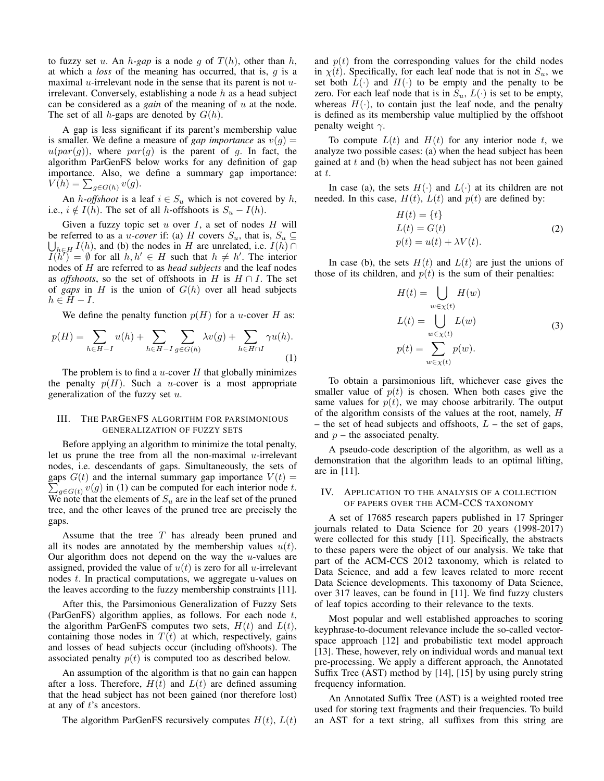to fuzzy set u. An  $h$ -gap is a node g of  $T(h)$ , other than h, at which a *loss* of the meaning has occurred, that is, g is a maximal *u*-irrelevant node in the sense that its parent is not *u*irrelevant. Conversely, establishing a node  $h$  as a head subject can be considered as a *gain* of the meaning of u at the node. The set of all *h*-gaps are denoted by  $G(h)$ .

A gap is less significant if its parent's membership value is smaller. We define a measure of *gap importance* as  $v(g)$  =  $u(par(g))$ , where  $par(g)$  is the parent of g. In fact, the algorithm ParGenFS below works for any definition of gap importance. Also, we define a summary gap importance:  $V(h) = \sum_{g \in G(h)} v(g).$ 

An *h*-offshoot is a leaf  $i \in S_u$  which is not covered by *h*, i.e.,  $i \notin I(h)$ . The set of all h-offshoots is  $S_u - I(h)$ .

Given a fuzzy topic set  $u$  over  $I$ , a set of nodes  $H$  will be referred to as a *u-cover* if: (a) H covers  $S_u$ , that is,  $S_u \subseteq$  $\bigcup_{h \in H} I(h)$ , and (b) the nodes in H are unrelated, i.e.  $I(h) \cap$  $\overline{I(h')} = \emptyset$  for all  $h, h' \in H$  such that  $h \neq h'$ . The interior nodes of H are referred to as *head subjects* and the leaf nodes as *offshoots*, so the set of offshoots in H is  $H \cap I$ . The set of *gaps* in  $H$  is the union of  $G(h)$  over all head subjects  $h \in H - I$ .

We define the penalty function  $p(H)$  for a u-cover H as:

$$
p(H) = \sum_{h \in H - I} u(h) + \sum_{h \in H - I} \sum_{g \in G(h)} \lambda v(g) + \sum_{h \in H \cap I} \gamma u(h).
$$
\n(1)

The problem is to find a  $u$ -cover  $H$  that globally minimizes the penalty  $p(H)$ . Such a *u*-cover is a most appropriate generalization of the fuzzy set  $u$ .

### III. THE PARGENFS ALGORITHM FOR PARSIMONIOUS GENERALIZATION OF FUZZY SETS

Before applying an algorithm to minimize the total penalty, let us prune the tree from all the non-maximal  $u$ -irrelevant nodes, i.e. descendants of gaps. Simultaneously, the sets of  $\sum_{g \in G(t)} v(g)$  in (1) can be computed for each interior node t. gaps  $G(t)$  and the internal summary gap importance  $V(t) =$ We note that the elements of  $S_u$  are in the leaf set of the pruned tree, and the other leaves of the pruned tree are precisely the gaps.

Assume that the tree  $T$  has already been pruned and all its nodes are annotated by the membership values  $u(t)$ . Our algorithm does not depend on the way the  $u$ -values are assigned, provided the value of  $u(t)$  is zero for all u-irrelevant nodes  $t$ . In practical computations, we aggregate u-values on the leaves according to the fuzzy membership constraints [11].

After this, the Parsimonious Generalization of Fuzzy Sets (ParGenFS) algorithm applies, as follows. For each node t, the algorithm ParGenFS computes two sets,  $H(t)$  and  $L(t)$ , containing those nodes in  $T(t)$  at which, respectively, gains and losses of head subjects occur (including offshoots). The associated penalty  $p(t)$  is computed too as described below.

An assumption of the algorithm is that no gain can happen after a loss. Therefore,  $H(t)$  and  $L(t)$  are defined assuming that the head subject has not been gained (nor therefore lost) at any of  $t$ 's ancestors.

The algorithm ParGenFS recursively computes  $H(t)$ ,  $L(t)$ 

and  $p(t)$  from the corresponding values for the child nodes in  $\chi(t)$ . Specifically, for each leaf node that is not in  $S_u$ , we set both  $L(\cdot)$  and  $H(\cdot)$  to be empty and the penalty to be zero. For each leaf node that is in  $S_u$ ,  $L(\cdot)$  is set to be empty, whereas  $H(\cdot)$ , to contain just the leaf node, and the penalty is defined as its membership value multiplied by the offshoot penalty weight  $\gamma$ .

To compute  $L(t)$  and  $H(t)$  for any interior node t, we analyze two possible cases: (a) when the head subject has been gained at  $t$  and (b) when the head subject has not been gained at t.

In case (a), the sets  $H(\cdot)$  and  $L(\cdot)$  at its children are not needed. In this case,  $H(t)$ ,  $L(t)$  and  $p(t)$  are defined by:

$$
H(t) = \{t\}
$$
  
\n
$$
L(t) = G(t)
$$
  
\n
$$
p(t) = u(t) + \lambda V(t).
$$
\n(2)

In case (b), the sets  $H(t)$  and  $L(t)$  are just the unions of those of its children, and  $p(t)$  is the sum of their penalties:

$$
H(t) = \bigcup_{w \in \chi(t)} H(w)
$$
  
\n
$$
L(t) = \bigcup_{w \in \chi(t)} L(w)
$$
  
\n
$$
p(t) = \sum_{w \in \chi(t)} p(w).
$$
\n(3)

To obtain a parsimonious lift, whichever case gives the smaller value of  $p(t)$  is chosen. When both cases give the same values for  $p(t)$ , we may choose arbitrarily. The output of the algorithm consists of the values at the root, namely, H – the set of head subjects and offshoots,  $L$  – the set of gaps, and  $p$  – the associated penalty.

A pseudo-code description of the algorithm, as well as a demonstration that the algorithm leads to an optimal lifting, are in [11].

#### IV. APPLICATION TO THE ANALYSIS OF A COLLECTION OF PAPERS OVER THE ACM-CCS TAXONOMY

A set of 17685 research papers published in 17 Springer journals related to Data Science for 20 years (1998-2017) were collected for this study [11]. Specifically, the abstracts to these papers were the object of our analysis. We take that part of the ACM-CCS 2012 taxonomy, which is related to Data Science, and add a few leaves related to more recent Data Science developments. This taxonomy of Data Science, over 317 leaves, can be found in [11]. We find fuzzy clusters of leaf topics according to their relevance to the texts.

Most popular and well established approaches to scoring keyphrase-to-document relevance include the so-called vectorspace approach [12] and probabilistic text model approach [13]. These, however, rely on individual words and manual text pre-processing. We apply a different approach, the Annotated Suffix Tree (AST) method by [14], [15] by using purely string frequency information.

An Annotated Suffix Tree (AST) is a weighted rooted tree used for storing text fragments and their frequencies. To build an AST for a text string, all suffixes from this string are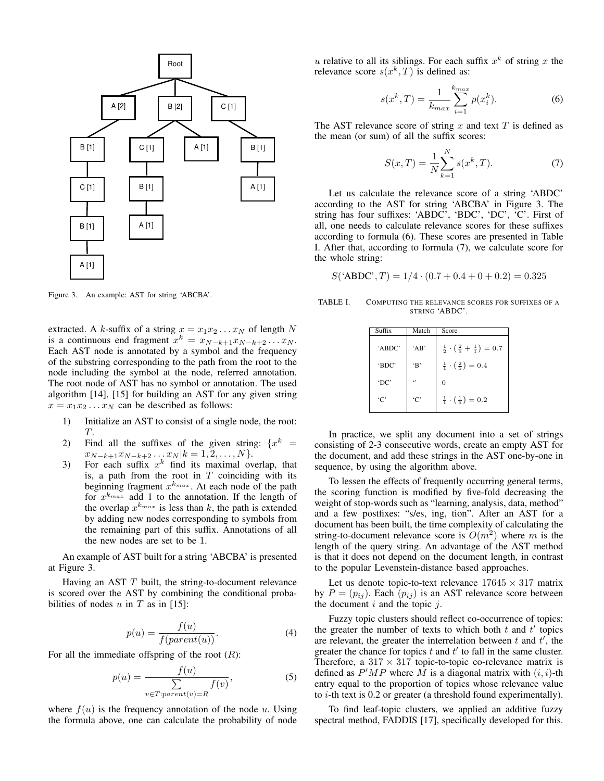

Figure 3. An example: AST for string 'ABCBA'.

extracted. A k-suffix of a string  $x = x_1x_2...x_N$  of length N is a continuous end fragment  $x^k = x_{N-k+1}x_{N-k+2} \dots x_N$ . Each AST node is annotated by a symbol and the frequency of the substring corresponding to the path from the root to the node including the symbol at the node, referred annotation. The root node of AST has no symbol or annotation. The used algorithm [14], [15] for building an AST for any given string  $x = x_1x_2...x_N$  can be described as follows:

- 1) Initialize an AST to consist of a single node, the root: T.
- 2) Find all the suffixes of the given string:  $\{x^k =$  $x_{N-k+1}x_{N-k+2}\ldots x_N|k=1,2,\ldots,N$ .
- 3) For each suffix  $x^k$  find its maximal overlap, that is, a path from the root in  $T$  coinciding with its beginning fragment  $x^{k_{max}}$ . At each node of the path for  $x^{k_{max}}$  add 1 to the annotation. If the length of the overlap  $x^{k_{max}}$  is less than k, the path is extended by adding new nodes corresponding to symbols from the remaining part of this suffix. Annotations of all the new nodes are set to be 1.

An example of AST built for a string 'ABCBA' is presented at Figure 3.

Having an AST  $T$  built, the string-to-document relevance is scored over the AST by combining the conditional probabilities of nodes  $u$  in  $T$  as in [15]:

$$
p(u) = \frac{f(u)}{f(parent(u))}.
$$
 (4)

For all the immediate offspring of the root  $(R)$ :

$$
p(u) = \frac{f(u)}{\sum_{v \in T:parent(v) = R} f(v)},
$$
\n<sup>(5)</sup>

where  $f(u)$  is the frequency annotation of the node u. Using the formula above, one can calculate the probability of node u relative to all its siblings. For each suffix  $x^k$  of string x the relevance score  $s(x^k, T)$  is defined as:

$$
s(x^{k}, T) = \frac{1}{k_{max}} \sum_{i=1}^{k_{max}} p(x_i^{k}).
$$
 (6)

The AST relevance score of string  $x$  and text  $T$  is defined as the mean (or sum) of all the suffix scores:

$$
S(x,T) = \frac{1}{N} \sum_{k=1}^{N} s(x^k, T).
$$
 (7)

Let us calculate the relevance score of a string 'ABDC' according to the AST for string 'ABCBA' in Figure 3. The string has four suffixes: 'ABDC', 'BDC', 'DC', 'C'. First of all, one needs to calculate relevance scores for these suffixes according to formula (6). These scores are presented in Table I. After that, according to formula (7), we calculate score for the whole string:

$$
S(\text{ABDC'}, T) = 1/4 \cdot (0.7 + 0.4 + 0 + 0.2) = 0.325
$$

TABLE I. COMPUTING THE RELEVANCE SCORES FOR SUFFIXES OF A STRING 'ABDC'.

| Suffix | Match             | Score                                                 |
|--------|-------------------|-------------------------------------------------------|
| 'ABDC' | 'AB'              | $\frac{1}{2} \cdot (\frac{2}{5} + \frac{1}{1}) = 0.7$ |
| 'BDC'  | B                 | $\frac{1}{1} \cdot (\frac{2}{5}) = 0.4$               |
| 'DC'   | $\leftrightarrow$ | $\Omega$                                              |
| 'C'    | 'C'               | $\frac{1}{1} \cdot (\frac{1}{5}) = 0.2$               |

In practice, we split any document into a set of strings consisting of 2-3 consecutive words, create an empty AST for the document, and add these strings in the AST one-by-one in sequence, by using the algorithm above.

To lessen the effects of frequently occurring general terms, the scoring function is modified by five-fold decreasing the weight of stop-words such as "learning, analysis, data, method" and a few postfixes: "s/es, ing, tion". After an AST for a document has been built, the time complexity of calculating the string-to-document relevance score is  $O(m^2)$  where m is the length of the query string. An advantage of the AST method is that it does not depend on the document length, in contrast to the popular Levenstein-distance based approaches.

Let us denote topic-to-text relevance  $17645 \times 317$  matrix by  $P = (p_{ij})$ . Each  $(p_{ij})$  is an AST relevance score between the document  $i$  and the topic  $j$ .

Fuzzy topic clusters should reflect co-occurrence of topics: the greater the number of texts to which both  $t$  and  $t'$  topics are relevant, the greater the interrelation between  $t$  and  $t'$ , the greater the chance for topics  $t$  and  $t'$  to fall in the same cluster. Therefore, a  $317 \times 317$  topic-to-topic co-relevance matrix is defined as  $P'MP$  where  $\tilde{M}$  is a diagonal matrix with  $(i, i)$ -th entry equal to the proportion of topics whose relevance value to  $i$ -th text is 0.2 or greater (a threshold found experimentally).

To find leaf-topic clusters, we applied an additive fuzzy spectral method, FADDIS [17], specifically developed for this.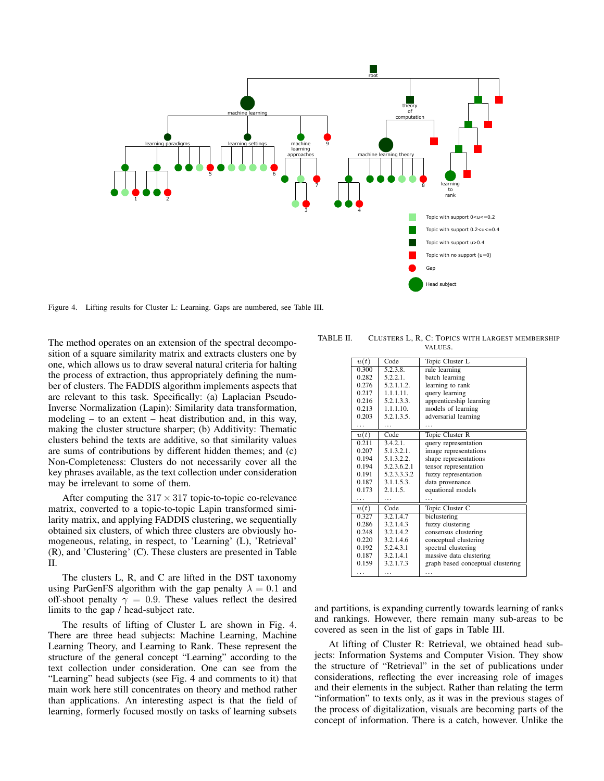

Figure 4. Lifting results for Cluster L: Learning. Gaps are numbered, see Table III.

The method operates on an extension of the spectral decomposition of a square similarity matrix and extracts clusters one by one, which allows us to draw several natural criteria for halting the process of extraction, thus appropriately defining the number of clusters. The FADDIS algorithm implements aspects that are relevant to this task. Specifically: (a) Laplacian Pseudo-Inverse Normalization (Lapin): Similarity data transformation, modeling – to an extent – heat distribution and, in this way, making the cluster structure sharper; (b) Additivity: Thematic clusters behind the texts are additive, so that similarity values are sums of contributions by different hidden themes; and (c) Non-Completeness: Clusters do not necessarily cover all the key phrases available, as the text collection under consideration may be irrelevant to some of them.

After computing the  $317 \times 317$  topic-to-topic co-relevance matrix, converted to a topic-to-topic Lapin transformed similarity matrix, and applying FADDIS clustering, we sequentially obtained six clusters, of which three clusters are obviously homogeneous, relating, in respect, to 'Learning' (L), 'Retrieval' (R), and 'Clustering' (C). These clusters are presented in Table II.

The clusters L, R, and C are lifted in the DST taxonomy using ParGenFS algorithm with the gap penalty  $\lambda = 0.1$  and off-shoot penalty  $\gamma = 0.9$ . These values reflect the desired limits to the gap / head-subject rate.

The results of lifting of Cluster L are shown in Fig. 4. There are three head subjects: Machine Learning, Machine Learning Theory, and Learning to Rank. These represent the structure of the general concept "Learning" according to the text collection under consideration. One can see from the "Learning" head subjects (see Fig. 4 and comments to it) that main work here still concentrates on theory and method rather than applications. An interesting aspect is that the field of learning, formerly focused mostly on tasks of learning subsets

TABLE II. CLUSTERS L, R, C: TOPICS WITH LARGEST MEMBERSHIP VALUES.

| u(t)  | Code                   | Topic Cluster L                   |
|-------|------------------------|-----------------------------------|
| 0.300 | 5.2.3.8.               | rule learning                     |
| 0.282 | 5.2.2.1                | batch learning                    |
| 0.276 | 5.2.1.1.2.             | learning to rank                  |
| 0.217 | 1.1.1.11.              | query learning                    |
| 0.216 | 5.2.1.3.3.             | apprenticeship learning           |
| 0.213 | 1.1.1.10.              | models of learning                |
| 0.203 | 5.2.1.3.5.             | adversarial learning              |
| .     |                        |                                   |
| u(t)  | Code                   | Topic Cluster R                   |
| 0.211 | $3.4.\overline{2.1}$ . | query representation              |
| 0.207 | 5.1.3.2.1.             | image representations             |
| 0.194 | 5.1.3.2.2.             | shape representations             |
| 0.194 | 5.2.3.6.2.1            | tensor representation             |
| 0.191 | 5.2.3.3.3.2            | fuzzy representation              |
| 0.187 | 3.1.1.5.3.             | data provenance                   |
| 0.173 | 2.1.1.5.               | equational models                 |
| .     |                        |                                   |
| u(t)  | Code                   | Topic Cluster C                   |
| 0.327 | 3.2.14.7               | biclustering                      |
| 0.286 | 3.2.1.4.3              | fuzzy clustering                  |
| 0.248 | 3.2.1.4.2              | consensus clustering              |
| 0.220 | 3.2.1.4.6              | conceptual clustering             |
| 0.192 | 5.2.4.3.1              | spectral clustering               |
| 0.187 | 3.2.1.4.1              | massive data clustering           |
| 0.159 | 3.2.1.7.3              | graph based conceptual clustering |
|       | .                      | .                                 |

and partitions, is expanding currently towards learning of ranks and rankings. However, there remain many sub-areas to be covered as seen in the list of gaps in Table III.

At lifting of Cluster R: Retrieval, we obtained head subjects: Information Systems and Computer Vision. They show the structure of "Retrieval" in the set of publications under considerations, reflecting the ever increasing role of images and their elements in the subject. Rather than relating the term "information" to texts only, as it was in the previous stages of the process of digitalization, visuals are becoming parts of the concept of information. There is a catch, however. Unlike the